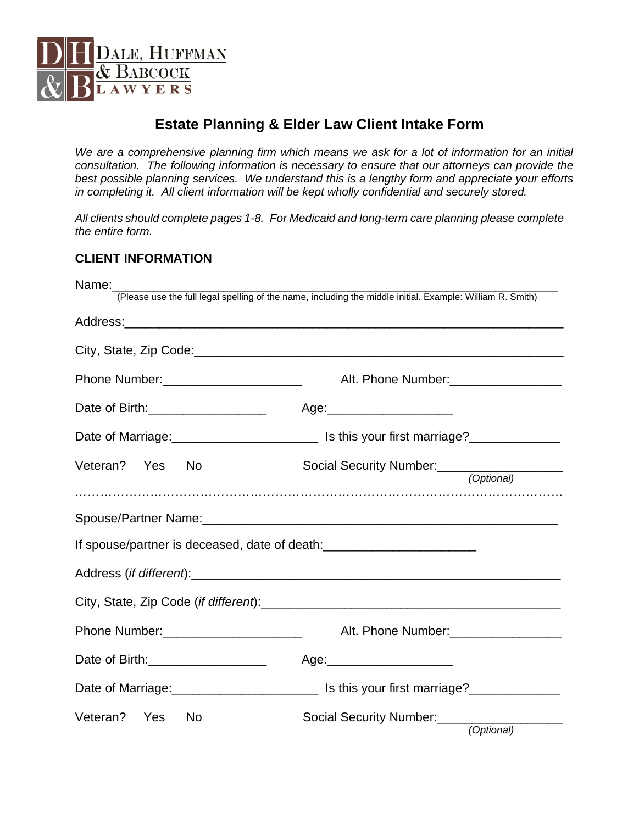

# **Estate Planning & Elder Law Client Intake Form**

*We are a comprehensive planning firm which means we ask for a lot of information for an initial consultation. The following information is necessary to ensure that our attorneys can provide the best possible planning services. We understand this is a lengthy form and appreciate your efforts in completing it. All client information will be kept wholly confidential and securely stored.* 

*All clients should complete pages 1-8. For Medicaid and long-term care planning please complete the entire form.* 

#### **CLIENT INFORMATION**

| Name:                                                                            |                                                                                                           |
|----------------------------------------------------------------------------------|-----------------------------------------------------------------------------------------------------------|
|                                                                                  | (Please use the full legal spelling of the name, including the middle initial. Example: William R. Smith) |
|                                                                                  |                                                                                                           |
|                                                                                  |                                                                                                           |
| Phone Number: ________________________                                           | Alt. Phone Number: ___________________                                                                    |
| Date of Birth: ______________________                                            | Age:_________________________                                                                             |
|                                                                                  |                                                                                                           |
| Veteran? Yes No                                                                  | Social Security Number:<br><u> Cocial Security Number</u><br>(Optional)                                   |
|                                                                                  |                                                                                                           |
|                                                                                  |                                                                                                           |
| If spouse/partner is deceased, date of death:___________________________________ |                                                                                                           |
|                                                                                  |                                                                                                           |
|                                                                                  |                                                                                                           |
| Phone Number: _________________________                                          | Alt. Phone Number: ____________________                                                                   |
| Date of Birth: _____________________                                             |                                                                                                           |
|                                                                                  |                                                                                                           |
| Veteran? Yes<br>- No                                                             | Social Security Number:<br><u> 1999 - Jan Jan Jan Jan</u><br>(Optional)                                   |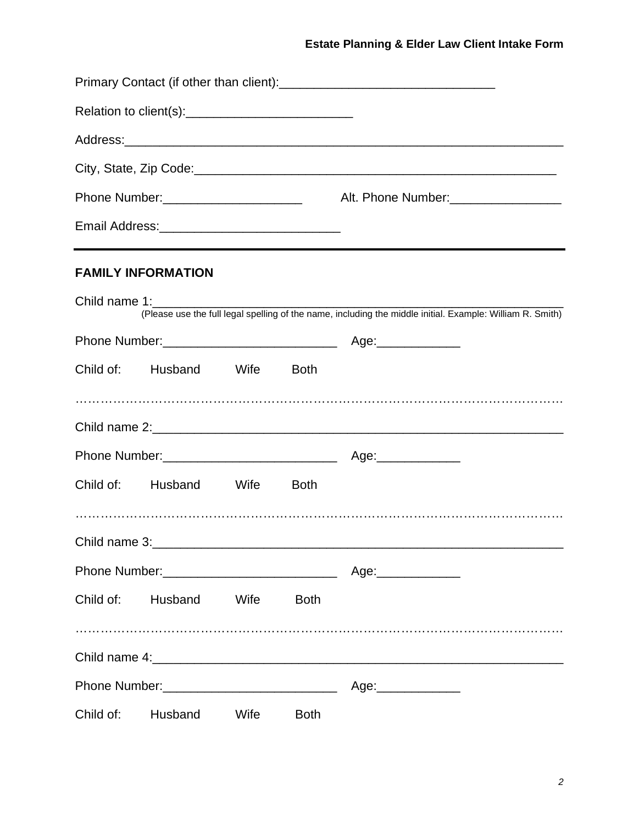| Relation to client(s): Notified by Relation to client(s):                                                                                                                                                                     |             |                                                                                                           |
|-------------------------------------------------------------------------------------------------------------------------------------------------------------------------------------------------------------------------------|-------------|-----------------------------------------------------------------------------------------------------------|
|                                                                                                                                                                                                                               |             |                                                                                                           |
|                                                                                                                                                                                                                               |             |                                                                                                           |
|                                                                                                                                                                                                                               |             |                                                                                                           |
|                                                                                                                                                                                                                               |             | ,我们也不会有什么。""我们的人,我们也不会有什么?""我们的人,我们也不会有什么?""我们的人,我们也不会有什么?""我们的人,我们也不会有什么?""我们的人                          |
| <b>FAMILY INFORMATION</b>                                                                                                                                                                                                     |             |                                                                                                           |
| Child name 1: The contract of the contract of the contract of the contract of the contract of the contract of the contract of the contract of the contract of the contract of the contract of the contract of the contract of |             |                                                                                                           |
|                                                                                                                                                                                                                               |             | (Please use the full legal spelling of the name, including the middle initial. Example: William R. Smith) |
|                                                                                                                                                                                                                               |             |                                                                                                           |
| Child of: Husband Wife Both                                                                                                                                                                                                   |             |                                                                                                           |
|                                                                                                                                                                                                                               |             |                                                                                                           |
|                                                                                                                                                                                                                               |             |                                                                                                           |
| Child of: Husband Wife                                                                                                                                                                                                        | <b>Both</b> |                                                                                                           |
|                                                                                                                                                                                                                               |             |                                                                                                           |
|                                                                                                                                                                                                                               |             | Child name 3:                                                                                             |
|                                                                                                                                                                                                                               |             |                                                                                                           |
| Child of: Husband Wife                                                                                                                                                                                                        | <b>Both</b> |                                                                                                           |
|                                                                                                                                                                                                                               |             |                                                                                                           |
|                                                                                                                                                                                                                               |             | Age:______________                                                                                        |
| Child of: Husband Wife                                                                                                                                                                                                        | <b>Both</b> |                                                                                                           |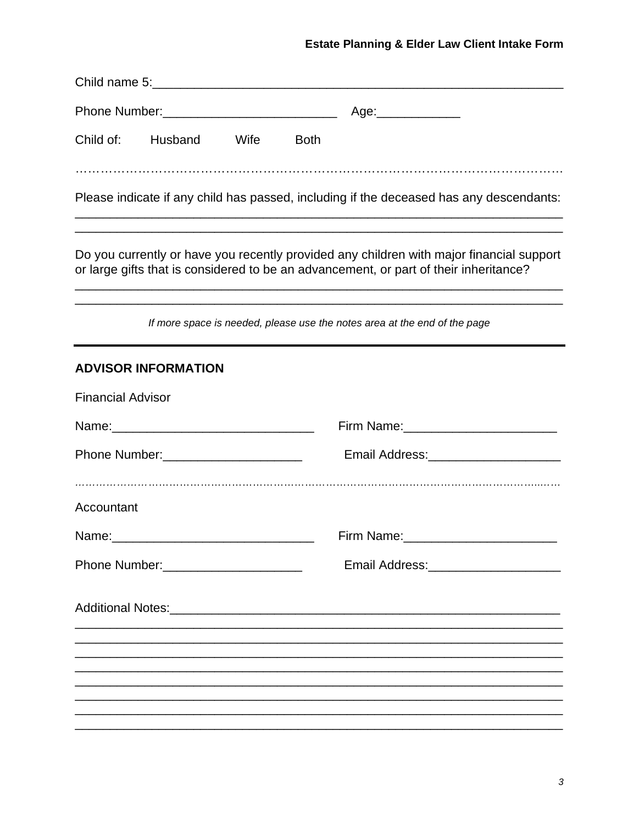## Estate Planning & Elder Law Client Intake Form

|                                        |                                        |                                       | Age:______________                                                                                                                                                                |
|----------------------------------------|----------------------------------------|---------------------------------------|-----------------------------------------------------------------------------------------------------------------------------------------------------------------------------------|
|                                        | Child of: Husband Wife                 | <b>Both</b>                           |                                                                                                                                                                                   |
|                                        |                                        |                                       | Please indicate if any child has passed, including if the deceased has any descendants:                                                                                           |
|                                        |                                        |                                       | Do you currently or have you recently provided any children with major financial support<br>or large gifts that is considered to be an advancement, or part of their inheritance? |
|                                        |                                        |                                       | If more space is needed, please use the notes area at the end of the page                                                                                                         |
|                                        | <b>ADVISOR INFORMATION</b>             |                                       |                                                                                                                                                                                   |
| <b>Financial Advisor</b>               |                                        |                                       |                                                                                                                                                                                   |
|                                        |                                        |                                       | Firm Name: 2008 2010 2021 2022 2023 2024 2022 2022 2023 2024 2022 2023 2024 2022 2023 2024 2025 2026 2027 2028                                                                    |
|                                        | Phone Number: ________________________ |                                       | Email Address:________________________                                                                                                                                            |
| Accountant                             |                                        |                                       |                                                                                                                                                                                   |
| Name:                                  |                                        |                                       | Firm Name:                                                                                                                                                                        |
| Phone Number: ________________________ |                                        | Email Address:_______________________ |                                                                                                                                                                                   |
|                                        |                                        |                                       |                                                                                                                                                                                   |
|                                        |                                        |                                       |                                                                                                                                                                                   |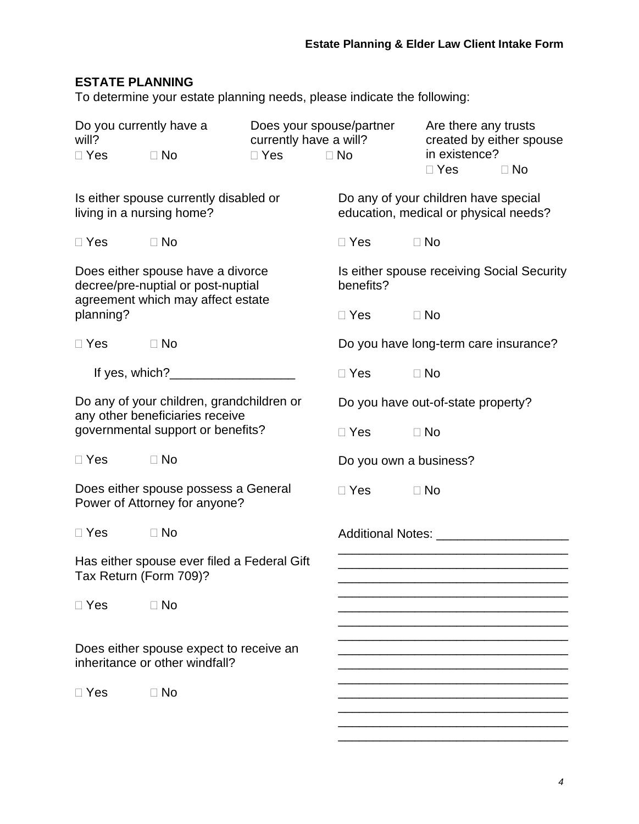## **ESTATE PLANNING**

To determine your estate planning needs, please indicate the following:

| Do you currently have a<br>will?<br>$\Box$ Yes                                                                    | $\Box$ No                                                                 | Does your spouse/partner<br>currently have a will?<br>$\Box$ Yes | $\Box$ No                          | Are there any trusts<br>created by either spouse<br>in existence?<br>$\Box$ Yes | $\Box$ No |
|-------------------------------------------------------------------------------------------------------------------|---------------------------------------------------------------------------|------------------------------------------------------------------|------------------------------------|---------------------------------------------------------------------------------|-----------|
| living in a nursing home?                                                                                         | Is either spouse currently disabled or                                    |                                                                  |                                    | Do any of your children have special<br>education, medical or physical needs?   |           |
| $\Box$ Yes                                                                                                        | $\Box$ No                                                                 |                                                                  | $\Box$ Yes                         | $\Box$ No                                                                       |           |
| Does either spouse have a divorce<br>decree/pre-nuptial or post-nuptial<br>agreement which may affect estate      |                                                                           |                                                                  | benefits?                          | Is either spouse receiving Social Security                                      |           |
| planning?                                                                                                         |                                                                           |                                                                  | $\Box$ Yes                         | $\Box$ No                                                                       |           |
| $\Box$ Yes                                                                                                        | $\Box$ No                                                                 |                                                                  |                                    | Do you have long-term care insurance?                                           |           |
|                                                                                                                   | If yes, which? $\qquad \qquad$                                            |                                                                  | $\Box$ Yes                         | $\Box$ No                                                                       |           |
| Do any of your children, grandchildren or<br>any other beneficiaries receive<br>governmental support or benefits? |                                                                           |                                                                  | Do you have out-of-state property? |                                                                                 |           |
|                                                                                                                   |                                                                           |                                                                  | $\Box$ Yes                         | $\Box$ No                                                                       |           |
| $\Box$ Yes                                                                                                        | $\Box$ No                                                                 |                                                                  | Do you own a business?             |                                                                                 |           |
|                                                                                                                   | Does either spouse possess a General<br>Power of Attorney for anyone?     |                                                                  | $\square$ Yes                      | $\Box$ No                                                                       |           |
| $\Box$ Yes                                                                                                        | <b>D</b> No                                                               |                                                                  |                                    |                                                                                 |           |
| Tax Return (Form 709)?                                                                                            | Has either spouse ever filed a Federal Gift                               |                                                                  |                                    |                                                                                 |           |
| $\Box$ Yes                                                                                                        | $\Box$ No                                                                 |                                                                  |                                    |                                                                                 |           |
|                                                                                                                   | Does either spouse expect to receive an<br>inheritance or other windfall? |                                                                  |                                    |                                                                                 |           |
| $\Box$ Yes                                                                                                        | $\Box$ No                                                                 |                                                                  |                                    |                                                                                 |           |

\_\_\_\_\_\_\_\_\_\_\_\_\_\_\_\_\_\_\_\_\_\_\_\_\_\_\_\_\_\_\_\_\_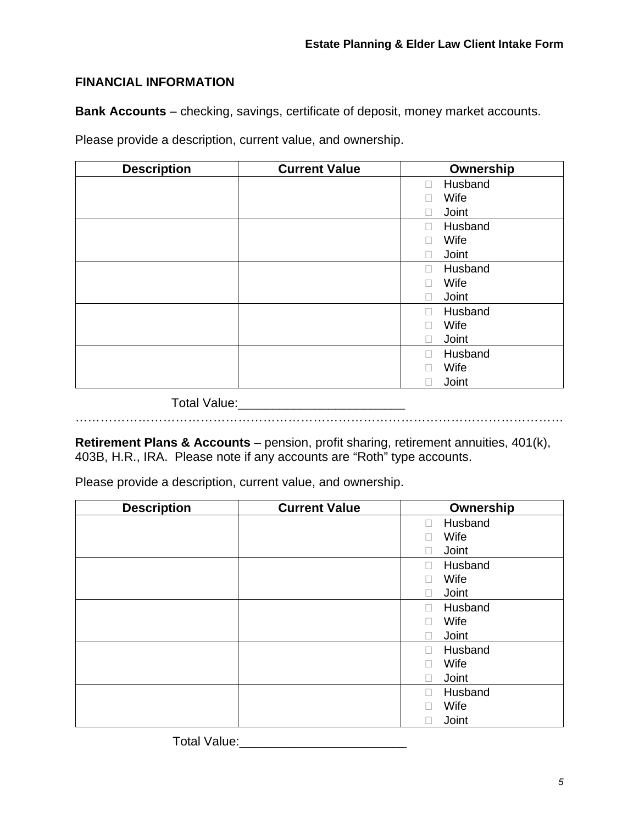### **FINANCIAL INFORMATION**

**Bank Accounts** – checking, savings, certificate of deposit, money market accounts.

Please provide a description, current value, and ownership.

| <b>Description</b> | <b>Current Value</b> | Ownership             |
|--------------------|----------------------|-----------------------|
|                    |                      | Husband<br>$\Box$     |
|                    |                      | Wife                  |
|                    |                      | Joint                 |
|                    |                      | Husband<br>П          |
|                    |                      | Wife                  |
|                    |                      | Joint                 |
|                    |                      | Husband<br>П          |
|                    |                      | Wife                  |
|                    |                      | Joint                 |
|                    |                      | Husband<br>П          |
|                    |                      | Wife                  |
|                    |                      | Joint<br>$\mathbf{I}$ |
|                    |                      | Husband<br>П          |
|                    |                      | Wife                  |
|                    |                      | Joint                 |

Total Value:\_\_\_\_\_\_\_\_\_\_\_\_\_\_\_\_\_\_\_\_\_\_\_\_

………………………………………………………………………………………………………

**Retirement Plans & Accounts** – pension, profit sharing, retirement annuities, 401(k), 403B, H.R., IRA. Please note if any accounts are "Roth" type accounts.

Please provide a description, current value, and ownership.

| <b>Description</b> | <b>Current Value</b> | Ownership         |
|--------------------|----------------------|-------------------|
|                    |                      | Husband<br>$\Box$ |
|                    |                      | Wife              |
|                    |                      | Joint             |
|                    |                      | Husband           |
|                    |                      | Wife              |
|                    |                      | Joint             |
|                    |                      | Husband           |
|                    |                      | Wife              |
|                    |                      | Joint             |
|                    |                      | Husband           |
|                    |                      | Wife              |
|                    |                      | Joint             |
|                    |                      | Husband           |
|                    |                      | Wife              |
|                    |                      | Joint             |

Total Value:\_\_\_\_\_\_\_\_\_\_\_\_\_\_\_\_\_\_\_\_\_\_\_\_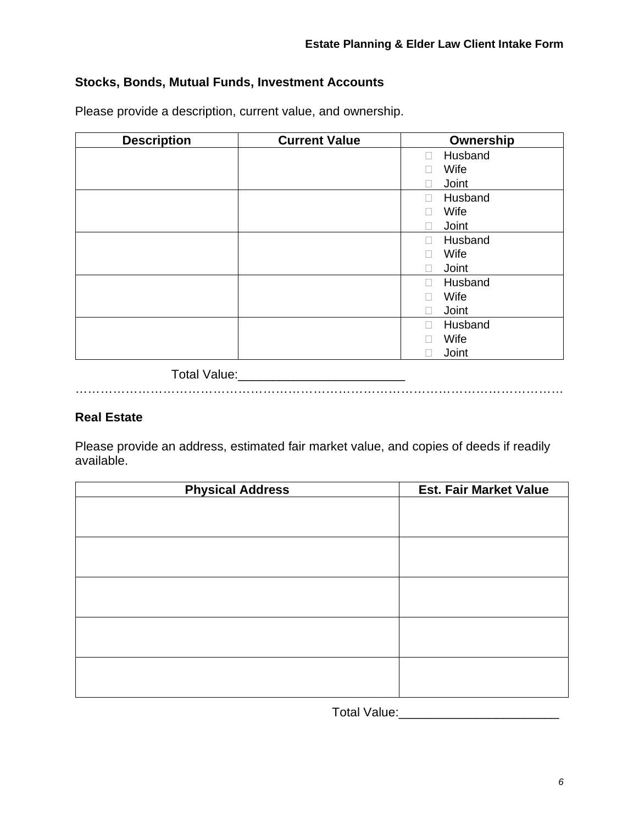## **Stocks, Bonds, Mutual Funds, Investment Accounts**

Please provide a description, current value, and ownership.

| <b>Description</b> | <b>Current Value</b> | Ownership                |
|--------------------|----------------------|--------------------------|
|                    |                      | Husband<br>П             |
|                    |                      | Wife                     |
|                    |                      | Joint                    |
|                    |                      | Husband<br>$\mathcal{L}$ |
|                    |                      | Wife                     |
|                    |                      | Joint                    |
|                    |                      | Husband<br>$\mathcal{L}$ |
|                    |                      | Wife                     |
|                    |                      | Joint                    |
|                    |                      | Husband<br>$\mathcal{L}$ |
|                    |                      | Wife                     |
|                    |                      | Joint                    |
|                    |                      | Husband                  |
|                    |                      | Wife                     |
|                    |                      | Joint                    |

Total Value:\_\_\_\_\_\_\_\_\_\_\_\_\_\_\_\_\_\_\_\_\_\_\_\_

## ………………………………………………………………………………………………………

#### **Real Estate**

Please provide an address, estimated fair market value, and copies of deeds if readily available.

| <b>Physical Address</b> | <b>Est. Fair Market Value</b> |
|-------------------------|-------------------------------|
|                         |                               |
|                         |                               |
|                         |                               |
|                         |                               |
|                         |                               |
|                         |                               |
|                         |                               |
|                         |                               |
|                         |                               |
|                         |                               |
|                         |                               |
|                         |                               |
|                         |                               |
|                         |                               |

Total Value:\_\_\_\_\_\_\_\_\_\_\_\_\_\_\_\_\_\_\_\_\_\_\_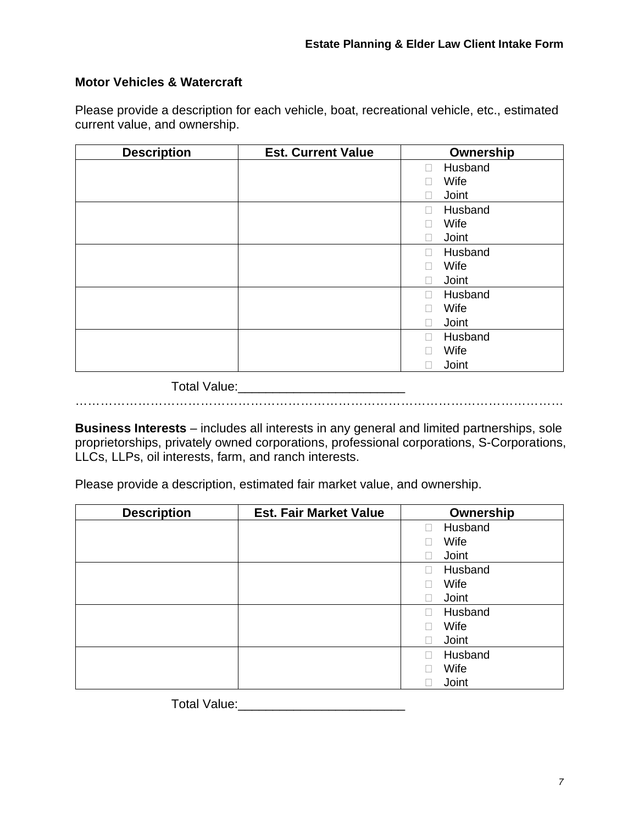#### **Motor Vehicles & Watercraft**

Please provide a description for each vehicle, boat, recreational vehicle, etc., estimated current value, and ownership.

| <b>Description</b> | <b>Est. Current Value</b> | Ownership                         |
|--------------------|---------------------------|-----------------------------------|
|                    |                           | Husband<br>П                      |
|                    |                           | Wife<br>$\overline{\phantom{a}}$  |
|                    |                           | Joint<br>$\overline{\phantom{a}}$ |
|                    |                           | Husband<br>П                      |
|                    |                           | Wife                              |
|                    |                           | Joint<br>П                        |
|                    |                           | Husband<br>П                      |
|                    |                           | Wife                              |
|                    |                           | Joint<br>n l                      |
|                    |                           | Husband<br>П                      |
|                    |                           | Wife<br>$\overline{\phantom{a}}$  |
|                    |                           | Joint<br>П                        |
|                    |                           | Husband<br>П                      |
|                    |                           | Wife                              |
|                    |                           | Joint                             |
|                    |                           |                                   |

Total Value:\_\_\_\_\_\_\_\_\_\_\_\_\_\_\_\_\_\_\_\_\_\_\_\_

………………………………………………………………………………………………………

**Business Interests** – includes all interests in any general and limited partnerships, sole proprietorships, privately owned corporations, professional corporations, S-Corporations, LLCs, LLPs, oil interests, farm, and ranch interests.

Please provide a description, estimated fair market value, and ownership.

| <b>Description</b> | <b>Est. Fair Market Value</b> | Ownership |
|--------------------|-------------------------------|-----------|
|                    |                               | Husband   |
|                    |                               | Wife      |
|                    |                               | Joint     |
|                    |                               | Husband   |
|                    |                               | Wife      |
|                    |                               | Joint     |
|                    |                               | Husband   |
|                    |                               | Wife      |
|                    |                               | Joint     |
|                    |                               | Husband   |
|                    |                               | Wife      |
|                    |                               | Joint     |

Total Value:\_\_\_\_\_\_\_\_\_\_\_\_\_\_\_\_\_\_\_\_\_\_\_\_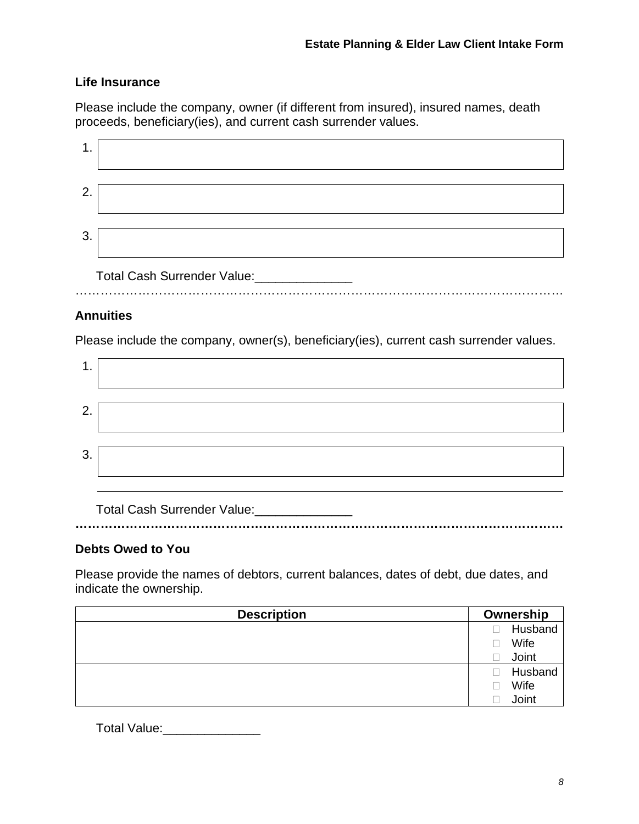## **Life Insurance**

Please include the company, owner (if different from insured), insured names, death proceeds, beneficiary(ies), and current cash surrender values.

| 2. |                             |
|----|-----------------------------|
| 3  |                             |
| .  | Total Cash Surrender Value: |

## **Annuities**

Please include the company, owner(s), beneficiary(ies), current cash surrender values.

| 1. |  |
|----|--|
| 2. |  |
| 3. |  |
|    |  |

Total Cash Surrender Value: **………………………………………………………………………………………………………** 

## **Debts Owed to You**

Please provide the names of debtors, current balances, dates of debt, due dates, and indicate the ownership.

| <b>Description</b> | Ownership |         |
|--------------------|-----------|---------|
|                    |           | Husband |
|                    |           | Wife    |
|                    |           | Joint   |
|                    |           | Husband |
|                    |           | Wife    |
|                    |           | Joint   |

Total Value: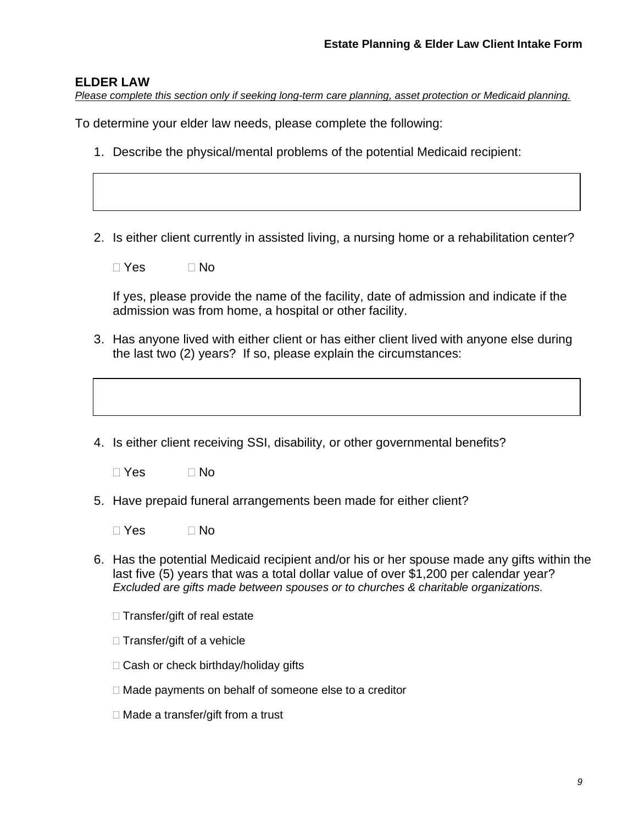#### **ELDER LAW**

*Please complete this section only if seeking long-term care planning, asset protection or Medicaid planning.* 

To determine your elder law needs, please complete the following:

- 1. Describe the physical/mental problems of the potential Medicaid recipient:
- 2. Is either client currently in assisted living, a nursing home or a rehabilitation center?
	- $\Box$  Yes  $\Box$  No

If yes, please provide the name of the facility, date of admission and indicate if the admission was from home, a hospital or other facility.

- 3. Has anyone lived with either client or has either client lived with anyone else during the last two (2) years? If so, please explain the circumstances:
- 4. Is either client receiving SSI, disability, or other governmental benefits?

 $\Box$  Yes  $\Box$  No

- 5. Have prepaid funeral arrangements been made for either client?
	- $\Box$  Yes  $\Box$  No
- 6. Has the potential Medicaid recipient and/or his or her spouse made any gifts within the last five (5) years that was a total dollar value of over \$1,200 per calendar year? *Excluded are gifts made between spouses or to churches & charitable organizations.*
	- $\Box$  Transfer/gift of real estate
	- $\Box$  Transfer/gift of a vehicle
	- □ Cash or check birthday/holiday gifts
	- $\Box$  Made payments on behalf of someone else to a creditor
	- □ Made a transfer/gift from a trust